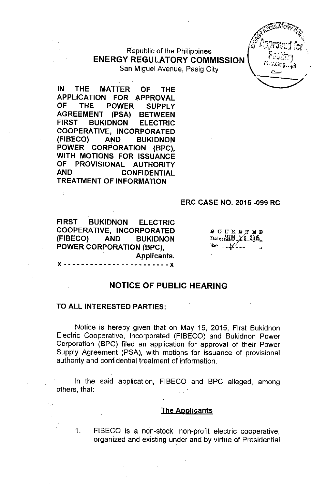Republic of the Philippines **ENERGY REGULATORY COMMISSION** San Miguel Avenue, Pasig City

**IN THE MATTER OF THE APPLICATION FOR APPROVAL OF THE POWER SUPPLY AGREEMENT (PSA) BETWEEN FIRST BUKIDNON ELECTRIC COOPERATIVE, INCORPORATED (FIBECO) AND BUKIDNON POWER CORPORATION (BPC), WITH MOTIONS FOR ISSUANCE OF PROVISIONAL AUTHORITY AND CONFIDENTIAL TREATMENT OF INFORMATION**

#### **ERC CASE NO. 2015 -099 RC**

**FIRST BUKIDNON ELECTRIC COOPERATIVE, INCORPORATED (FIBECO) AND BUKIDNON POWER CORPORATION (BPC), Applicants.** x - - ------- ----- - --- - --- **--x**

**OCKSTED** Date: UUN 16 2015  $\sum_{i=1}^{n}$ 

**-**

**'-....::\_\_/**

### **NOTICE OF PUBLIC HEARING**

#### **TO ALL INTERESTED PARTIES:**

Notice is hereby given that on May 19, 2015, First Bukidnon Electric Cooperative, Incorporated (FIBECO) and Bukidnon Power Corporation (BPC) filed an application for approval of their Power Supply Agreement (PSA), with motions for issuance of provisional authority and confidential treatment of information.

In the said application, FIBECO and BPC alleged, among others, that:

#### **The Applicants**

1. FIBECO is a non-stock, non-profit electric cooperative, organized and existing under and by virtue of Presidential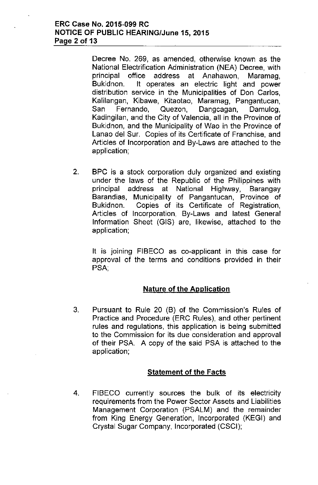### ERC Case No. 2015-099 RC NOTICE OF PUBLIC HEARING/June 15, 2015 Page 2 of 13

Decree No. 269, as amended, otherwise known as the National Electrification Administration (NEA) Decree, with principal office address at Anahawon, Maramag, Bukidnon. It operates an electric light and power distribution service in the Municipalities of Don Carlos, Kalilangan, Kibawe, Kitaotao, Maramag, Pangantucan, San Fernando, Quezon, Dangcagan, Damulog, Kadingilan, and the City of Valencia, all in the Province of Bukidnon, and the Municipality of Wao in the Province of Lanao del Sur. Copies of its Certificate of Franchise, and Articles of Incorporation and By-Laws are attached to the application;

2. BPC is a stock corporation duly organized and existing under the laws of the Republic of the Philippines with principal address at National Highway, Barangay Barandias, Municipality of Pangantucan, Province of Bukidnon. Copies of its Certificate of Registration, Articles of Incorporation, By-Laws and latest General Information Sheet (GIS) are, likewise, attached to the application;

It is joining FIBECO as co-applicant in this case for approval of the terms and conditions provided in their PSA;

### Nature of the Application

3. Pursuant to Rule 20 (B) of the Commission's Rules of Practice and Procedure (ERC Rules), and other pertinent rules and regulations, this application is being submitted to the Commission for its due consideration and approval of their PSA. A copy of the said PSA is attached to the application;

### Statement of the Facts

4. FIBECO currently sources the bulk of its electricity requirements from the Power Sector Assets and Liabilities Management Corporation (PSALM) and the remainder from King Energy Generation, Incorporated (KEGI) and Crystal Sugar Company, Incorporated (CSCI);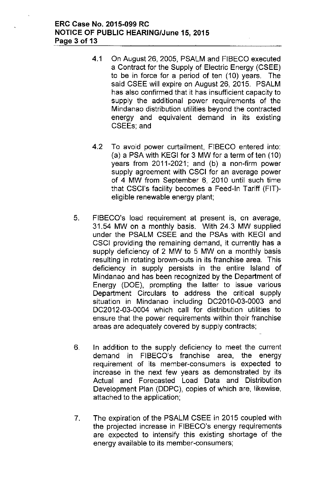### ERC Case No. 2015-099 RC NOTICE OF PUBLIC HEARING/June 15, 2015 Page 3 of 13

- 4.1 On August 26, 2005, PSALM and FIBECO executed a Contract for the Supply of Electric Energy (CSEE) to be in force for a period of ten (10) years. The said CSEE will expire on August 26, 2015. PSALM has also confirmed that it has insufficient capacity to supply the additional power requirements of the Mindanao distribution utilities beyond the contracted energy and equivalent demand in its existing CSEEs; and
- 4.2 To avoid power curtailment, FIBECO entered into: (a) a PSA with KEGI for 3 MW for a term of ten (10) years from 2011-2021; and (b) a non-firm power supply agreement with CSCI for an average power of 4 MW from September 6, 2010 until such time that CSCl's facility becomes a Feed-In Tariff (FIT) eligible renewable energy plant;
- 5. FIBECO's load requirement at present is, on average, 31.54 MW on a monthly basis. With 24.3 MW supplied under the PSALM CSEE and the PSAs with KEGI and CSCI providing the remaining demand, it currently has a supply deficiency of 2 MW to 5 MW on a monthly basis resulting in rotating brown-outs in its franchise area. This deficiency in supply persists in the entire Island of Mindanao and has been recognized by the Department of Energy (DOE), prompting the latter to issue various Department Circulars to address the critical supply situation in Mindanao including DC2010-03-0003 and DC2012-03-0004 which call for distribution utilities to ensure that the power requirements within their franchise areas are adequately covered by supply contracts;
- 6. In addition to the supply deficiency to meet the current demand in FIBECO's franchise area, the energy requirement of its member-consumers is expected to increase in the next few years as demonstrated by its Actual and Forecasted Load Data and Distribution Development Plan (DDPC), copies of which are, likewise, attached to the application;
- 7. The expiration of the PSALM CSEE in 2015 coupled with the projected increase in FIBECO's energy requirements are expected to intensify this existing shortage of the energy available to its member-consumers;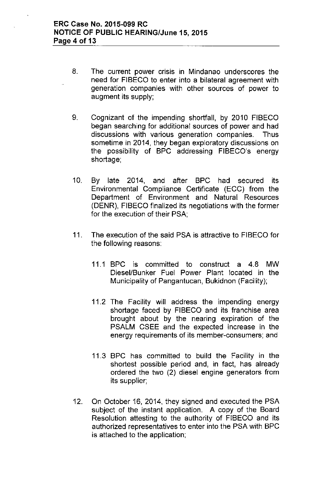- 8. The current power crisis in Mindanao underscores the need for FIBECO to enter into a bilateral agreement with generation companies with other sources of power to augment its supply;
- 9. Cognizant of the impending shortfall, by 2010 FIBECO began searching for additional sources of power and had discussions with various generation companies. Thus sometime in 2014, they began exploratory discussions on the possibility of BPC addressing FIBECO's energy shortage;
- 10. By late 2014, and after BPC had secured its Environmental Compliance Certificate (ECC) from the Department of Environment and Natural Resources (DENR), FIBECO finalized its negotiations with the former for the execution of their PSA;
- 11. The execution of the said PSA is attractive to FIBECO for the following reasons:
	- 11.1 BPC is committed to construct a 4.8 MW Diesel/Bunker Fuel Power Plant located in the Municipality of Pangantucan, Bukidnon (Facility);
	- 11.2 The Facility will address the impending energy shortage faced by FIBECO and its franchise area brought about by the nearing expiration of the PSALM CSEE and the expected increase in the energy requirements of its member-consumers; and
	- 11.3 BPC has committed to build the Facility in the shortest possible period and, in fact, has already ordered the two (2) diesel engine generators from its supplier;
- 12. On October 16, 2014, they signed and executed the PSA subject of the instant application. A copy of the Board Resolution attesting to the authority of FIBECO and its authorized representatives to enter into the PSA with BPC is attached to the application;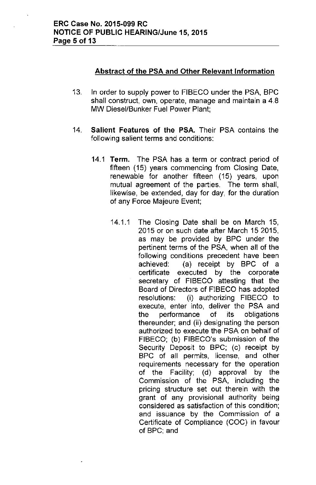# **Abstract of the PSA and Other Relevant Information**

- 13. **In** order to supply power to FIBECO under the PSA, BPC shall construct, own, operate, manage and maintain a 4.8 MW Diesel/Bunker Fuel Power Plant;
- 14. **Salient Features of the PSA.** Their PSA contains the following salient terms and conditions:
	- 14.1 **Term.** The PSA has a term or contract period of fifteen (15) years commencing from Closing Date, renewable for another fifteen (15) years, upon mutual agreement of the parties. The term shall, likewise, be extended, day for day, for the duration of any Force Majeure Event;
		- 14.1.1 The Closing Date shall be on March 15, 2015 or on such date after March 152015, as may be provided by BPC under the pertinent terms of the PSA, when all of the following conditions precedent have been achieved: (a) receipt by BPC of a certificate executed by the corporate secretary of FIBECO attesting that the Board of Directors of FIBECO has adopted resolutions: (i) authorizing FIBECO to execute, enter into, deliver the PSA and the performance of its obligations thereunder; and (ii) designating the person authorized to execute the PSA on behalf of FIBECO; (b) FIBECO's submission of the Security Deposit to BPC; (c) receipt by BPC of all permits, license, and other requirements necessary for the operation of the Facility; (d) approval by the Commission of the PSA, including the pricing structure set out therein with the grant of any provisional authority being considered as satisfaction of this condition; and issuance by the Commission of a Certificate of Compliance (COC) in favour of BPC; and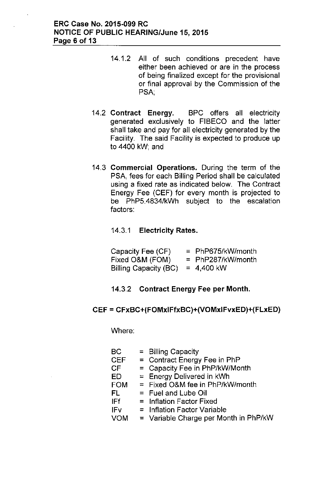- 14.1.2 All of such conditions precedent have either been achieved or are **in** the process of being finalized except for the provisional or final approval by the Commission of the PSA:
- 14.2 **Contract Energy.** BPC offers all electricity generated exclusively to FIBECO and the latter shall take and pay for all electricity generated by the Facility. The said Facility is expected to produce **up** to 4400 kW; and
- 14.3 **Commercial Operations.** During the term of the PSA, fees **for** each Billing Period shall be calculated using a fixed rate as indicated below. The Contract Energy Fee (CEF) for every month is projected to be PhP5,4834/kWh subject to the escalation factors:

14.3.1 **Electricity Rates.**

| Capacity Fee (CF)            | $=$ PhP675/kW/month |
|------------------------------|---------------------|
| Fixed O&M (FOM)              | $= PhP287/kW/month$ |
| <b>Billing Capacity (BC)</b> | $= 4,400$ kW        |

### 14.3.2 **Contract Energy Fee per Month.**

### **CEF = CFxBC+(FOMxIFfxBC)+(VOMxIFvxED)+(FLxED)**

Where:

| <b>BC</b>  | $=$ Billing Capacity                    |
|------------|-----------------------------------------|
| <b>CEF</b> | $=$ Contract Energy Fee in PhP          |
| <b>CF</b>  | = Capacity Fee in PhP/kW/Month          |
| ED         | $=$ Energy Delivered in kWh             |
| <b>FOM</b> | $=$ Fixed O&M fee in PhP/kW/month       |
| FL.        | $=$ Fuel and Lube Oil                   |
| IFf        | $=$ Inflation Factor Fixed              |
| IFv        | $=$ Inflation Factor Variable           |
| <b>VOM</b> | $=$ Variable Charge per Month in PhP/kW |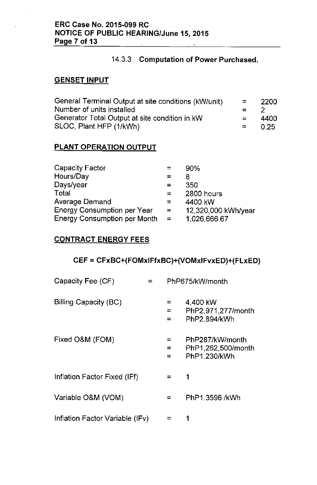### 14.3.3 **Computation of Power Purchased.**

### **GENSETINPUT**

| General Terminal Output at site conditions (kW/unit) | $\equiv$ | -2200 |
|------------------------------------------------------|----------|-------|
| Number of units installed                            | $= 2$    |       |
| Generator Total Output at site condition in kW       | $=$ $-$  | 4400. |
| SLOC, Plant HFP (1/kWh)                              | $= 0.25$ |       |

## **PLANT OPERATION OUTPUT**

| Capacity Factor                     |          | 90%                 |
|-------------------------------------|----------|---------------------|
| Hours/Day                           |          | 8                   |
| Days/year                           | =        | 350                 |
| <b>Total</b>                        | 罒        | 2800 hours          |
| <b>Average Demand</b>               | =        | 4400 kW             |
| <b>Energy Consumption per Year</b>  | $=$      | 12,320,000 kWh/year |
| <b>Energy Consumption per Month</b> | $\equiv$ | 1,026,666.67        |

# **CONTRACT ENERGY FEES**

# **CEF = CFxBC+(FOMxIFfxBC)+(VOMxIFvxED)+(FLxED)**

| Capacity Fee (CF)               | PhP675/kW/month |                                                       |
|---------------------------------|-----------------|-------------------------------------------------------|
| Billing Capacity (BC)           | ⋍<br>$=$<br>$=$ | 4,400 kW<br>PhP2.971.277/month<br>PhP2.894/kWh        |
| Fixed O&M (FOM)                 | =<br>⋍          | PhP287/kW/month<br>PhP1,262,500/month<br>PhP1.230/kWh |
| Inflation Factor Fixed (IFf)    | $=$             | 1                                                     |
| Variable O&M (VOM)              | ᆖ               | PhP1.3596 /kWh                                        |
| Inflation Factor Variable (IFv) |                 |                                                       |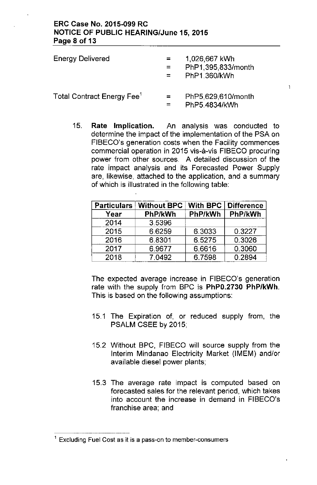### ERC Case No. 2015-099 RC NOTICE OF PUBLIC HEARING/June 15, 2015 Page 8 of 13

| <b>Energy Delivered</b>                | $=$ $-$<br>$=$ | 1,026,667 kWh<br>PhP1,395,833/month<br>PhP1.360/kWh |
|----------------------------------------|----------------|-----------------------------------------------------|
| Total Contract Energy Fee <sup>1</sup> | $=$            | PhP5,629,610/month<br>PhP5.4834/kWh                 |

15. Rate Implication. An analysis was conducted to determine the impact of the implementation of the PSA on FIBECO's generation costs when the Facility commences commercial operation in 2015 vis-a-vis FIBECO procuring power from other sources. A detailed discussion of the rate impact analysis and its Forecasted Power Supply are, likewise, attached to the application, and a summary of which is illustrated in the following table:

 $\mathbf{I}$ 

| <b>Particulars</b> | <b>Without BPC</b> | <b>With BPC</b> | Difference |
|--------------------|--------------------|-----------------|------------|
| Year               | PhP/kWh            | PhP/kWh         | PhP/kWh    |
| 2014               | 3.5396             |                 |            |
| 2015               | 6.6259             | 6.3033          | 0.3227     |
| 2016               | 6.8301             | 6.5275          | 0.3026     |
| 2017               | 6.9677             | 6.6616          | 0.3060     |
| 2018               | 7.0492             | 6.7598          | 0.2894     |

The expected average increase in FIBECO's generation rate with the supply from BPC is PhPO.2730 PhP/kWh. This is based on the following assumptions:

- 15.1 The Expiration of, or reduced supply from, the PSALM CSEE by 2015;
- 15.2 Without BPC, FIBECO will source supply from the Interim Mindanao Electricity Market (IMEM) and/or available diesel power plants;
- 15.3 The average rate impact is computed based on forecasted sales for the relevant period, which takes into account the increase in demand in FIBECO's franchise area; and

**<sup>1</sup> Excluding Fuel Cost as it is a pass-on to member-consumers**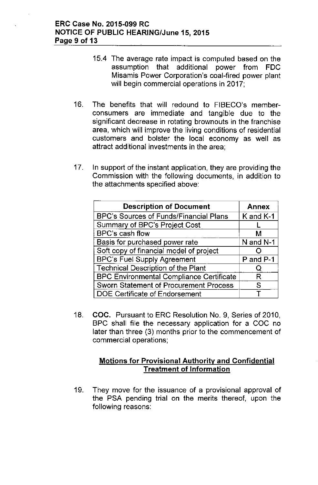- 15.4 The average rate impact is computed based on the assumption that additional power from FDC Misamis Power Corporation's coal-fired power plant will begin commercial operations in 2017;
- 16. The benefits that will redound to FIBECO's memberconsumers are immediate and tangible due to the significant decrease in rotating brownouts in the franchise area, which will improve the living conditions of residential customers and bolster the local economy as well as attract additional investments in the area;
- 17. In support of the instant application, they are providing the Commission with the following documents, in addition to the attachments specified above:

| <b>Description of Document</b>                  | <b>Annex</b> |
|-------------------------------------------------|--------------|
| BPC's Sources of Funds/Financial Plans          | K and K-1    |
| Summary of BPC's Project Cost                   |              |
| BPC's cash flow                                 | м            |
| Basis for purchased power rate                  | N and N-1    |
| Soft copy of financial model of project         |              |
| <b>BPC's Fuel Supply Agreement</b>              | P and P-1    |
| <b>Technical Description of the Plant</b>       | Ő            |
| <b>BPC Environmental Compliance Certificate</b> | R            |
| <b>Sworn Statement of Procurement Process</b>   | S            |
| DOE Certificate of Endorsement                  |              |

18. COC. Pursuant to ERC Resolution No. 9, Series of 2010, BPC shall file the necessary application for a COC no later than three (3) months prior to the commencement of commercial operations;

# Motions for Provisional Authority and Confidential Treatment of Information

19. They move for the issuance of a provisional approval of the PSA pending trial on the merits thereof, upon the following reasons: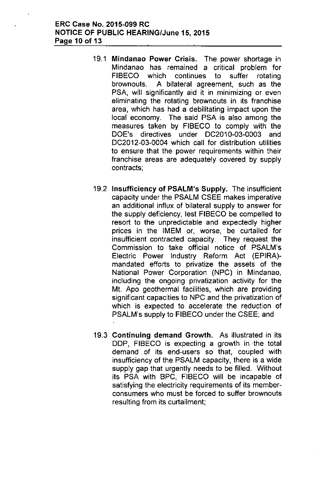### ERC Case No. 2015-099 RC NOTICE OF PUBLIC HEARING/June 15, 2015 Page 10 of 13

- 19.1 Mindanao Power Crisis. The power shortage in Mindanao has remained a critical problem for FIBECO which continues to suffer rotating brownouts. A bilateral agreement, such as the PSA, will significantly aid it in minimizing or even eliminating the rotating brownouts in its franchise area, which has had a debilitating impact upon the local economy. The said PSA is also among the measures taken by FIBECO to comply with the DOE's directives under DC2010-03-0003 and DC2012-03-0004 which call for distribution utilities to ensure that the power requirements within their franchise areas are adequately covered by supply contracts;
- 19.2 Insufficiency of PSALM's Supply. The insufficient capacity under the PSALM CSEE makes imperative an additional influx of bilateral supply to answer for the supply deficiency, lest FIBECO be compelled to resort to the unpredictable and expectedly higher prices in the IMEM or, worse, be curtailed for insufficient contracted capacity. They request the Commission to take official notice of PSALM's Electric Power Industry Reform Act (EPIRA) mandated efforts to privatize the assets of the National Power Corporation (NPC) in Mindanao, including the ongoing privatization activity for the Mt. Apo geothermal facilities, which are providing significant capacities to NPC and the privatization of which is expected to accelerate the reduction of PSALM's supply to FIBECO under the CSEE; and
- 19.3 Continuing demand Growth. As illustrated in its DDP, FIBECO is expecting a growth in the total demand of its end-users so that, coupled with insufficiency of the PSALM capacity, there is a wide supply gap that urgently needs to be filled. Without its PSA with BPC, FIBECO will be incapable of satisfying the electricity requirements of its memberconsumers who must be forced to suffer brownouts resulting from its curtailment;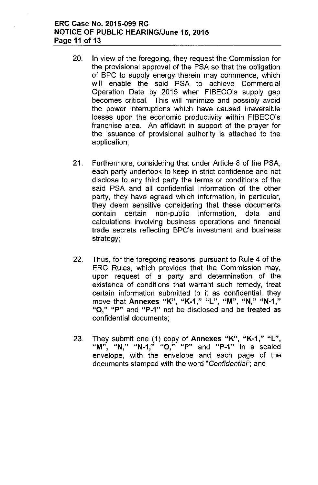### ERC Case No. 2015-099 RC NOTICE OF PUBLIC HEARING/June 15, 2015 Page 11 of 13

- 20. In view of the foregoing, they request the Commission for the provisional approval of the PSA so that the obligation of BPC to supply energy therein may commence, which will enable the said PSA to achieve Commercial Operation Date by 2015 when FIBECO's supply gap becomes critical. This will minimize and possibly avoid the power interruptions which have caused irreversible losses upon the economic productivity within FIBECO's franchise area. An affidavit in support of the prayer for the issuance of provisional authority is attached to the application;
- 21. Furthermore, considering that under Article 8 of the PSA, each party undertook to keep in strict confidence and not disclose to any third party the terms or conditions of the said PSA and all confidential Information of the other party, they have agreed which information, in particular, they deem sensitive considering that these documents contain certain non-public information, data and calculations involving business operations and financial trade secrets reflecting BPC's investment and business strategy;
- 22. Thus, for the foregoing reasons, pursuant to Rule 4 of the ERC Rules, which provides that the Commission may, upon request of a party and determination of the existence of conditions that warrant such remedy, treat certain information submitted to it as confidential, they **move that Annexes uK", uK\_i," "L", "M", "N," uN\_i,"** "0," "P" and "P-1" not be disclosed and be treated as confidential documents;
- 23. They submit one (1) copy of Annexes "K", "K-1," "L", **"M"**" **uN" "N-1"**, **"0"**, **"P" and uP\_i" in a sealed** envelope, with the envelope and each page of the documents stamped with the word *"Confidentiaf';* and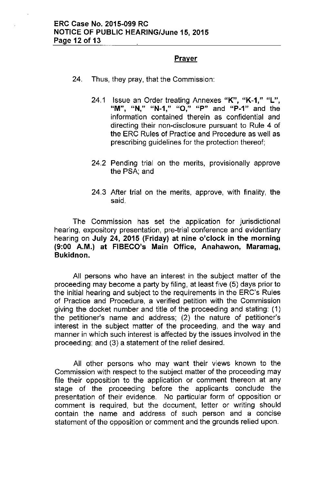### Prayer

- 24. Thus, they pray, that the Commission:
	- 24.1 Issue an Order treating Annexes "K", "K-1," "L", **I'M"** , **uN**I **II "N-1** , **II "0** , **II "P" and "P-1" and the** information contained therein as confidential and directing their non-disclosure pursuant to Rule 4 of the ERC Rules of Practice and Procedure as weli as prescribing guidelines for the protection thereof;
	- 24.2 Pending trial on the merits, provisionally approve the PSA; and
	- 24.3 After trial on the merits, approve, with finality, the said.

The Commission has set the application for jurisdictional hearing, expository presentation, pre-trial conference and evidentiary hearing on July 24, 2015 (Friday) at nine o'clock in the morning (9:00 A.M.) at FIBECO's Main Office, Anahawon, Maramag, Bukidnon.

All persons who have an interest in the subject matter of the proceeding may become a party by filing, at least five (5) days prior to the initial hearing and subject to the requirements in the ERC's Rules of Practice and Procedure, a verified petition with the Commission giving the docket number and title of the proceeding and stating: (1) the petitioner's name and address; (2) the nature of petitioner's interest in the subject matter of the proceeding, and the way and manner in which such interest is affected by the issues involved in the proceeding; and (3) a statement of the relief desired.

All other persons who may want their views known to the Commission with respect to the subject matter of the proceeding may file their opposition to the application or comment thereon at any stage of the proceeding before the applicants conclude the presentation of their evidence. No particular form of opposition or comment is required, but the document, letter or writing should contain the name and address of such person and a concise statement of the opposition or comment and the grounds relied upon.